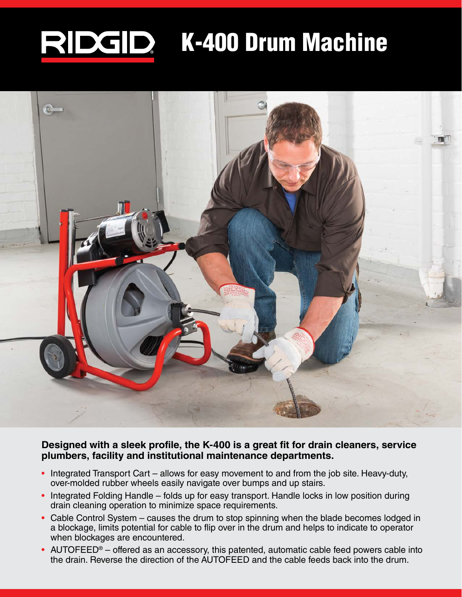## RIDGID K-400 Drum Machine



**Designed with a sleek profile, the K-400 is a great fit for drain cleaners, service plumbers, facility and institutional maintenance departments.**

- Integrated Transport Cart allows for easy movement to and from the job site. Heavy-duty, over-molded rubber wheels easily navigate over bumps and up stairs.
- Integrated Folding Handle folds up for easy transport. Handle locks in low position during drain cleaning operation to minimize space requirements.
- Cable Control System causes the drum to stop spinning when the blade becomes lodged in a blockage, limits potential for cable to flip over in the drum and helps to indicate to operator when blockages are encountered.
- AUTOFEED<sup>®</sup> offered as an accessory, this patented, automatic cable feed powers cable into the drain. Reverse the direction of the AUTOFEED and the cable feeds back into the drum.